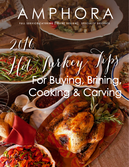# AMPHORA FULL SERVICE CATERING | EVENT DESIGN | SPECIALTY DESSERTS

2016

# Hot Turkey Tips For Buying, Brining, Cooking & Carving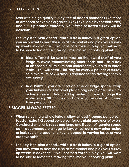#### **FRESH OR FROZEN**

- **• Start with a high quality turkey free of added hormones like those at Amphora or even an organic turkey (available by special order) and if it is prepared correctly, your fresh or frozen turkey will be delicious!**
- **• The key is to plan ahead…while a fresh turkey is a great option, you may want to beat the rush at the market and pick your turkey up weeks in advance. If you opt for a frozen turkey, you will want to be sure to factor the thawing time into your cooking plan!**
	- **o Tried & Tested. Be sure to thaw on the lowest shelf of your fridge to avoid contaminating other foods and use a tray or disposable aluminum pan underneath your bird to catch leaks. You will need 1 full day for every 5 pounds of turkey so a minimum of 2-3 days is required for an average family size turkey.**
	- **o In a Rush? If you are short on time or fridge space, wrap your turkey in a leak proof plastic bag and place it in a sink or large vessel. Add cold tap water to cover. Change the water every 30 minutes and allow 30 minutes of thawing time per pound.**

# **IS BIGGER ALWAYS BETTER?**

- **• When selecting a whole turkey, allow at least 1 pound per person, (addanextra1/2poundperpersonforlatenight snacksorleftovers. Consider 2 smaller birds vs one large one if your refrigerator space can't accommodate a huge turkey, or test out a new brine recipe or herb rub on a second turkey to appeal to varying tastes or your creative spirit!**
- **• The key is to plan ahead…while a fresh turkey is a great option, you may want to beat the rush at the market and pick your turkey up weeks in advance. If you opt for a frozen turkey, you will want to be sure to factor the thawing time into your cooking plan!**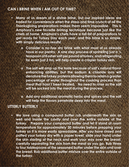#### **CAN I BRINE WHEN I AM OUT OF TIME?**

- **• Many of us dream of a divine brine, but our inspired ideas are traded for convenience when the stress and time crunch of all the Thanksgiving preparations makes them seem impossible. This is Amphora's new favorite brining technique because just like the chefs at home, Amphora's chefs have a tall list of preparations to get ready for Turkey Day each year, and this brine is so simple, with simply delicious results!**
	- **o Consider a no-fuss dry brine with what most of us already have in our pantry. A one step process of sprinkling just a ½ teaspoonofKosher saltperpoundofturkey,andrefrigerating for even just 2 hrs, will help create a crispier turkey skin.**
	- **o The salt will amp up the taste because of salt's natural flavor enhancing abilities, but the sodium & chloride ions will denaturetheturkeyproteinsallowingthemtoretainagreater percentage of water throughout the cooking process than meat that hasn't been treated. No need to rinse as the salt will be sucked into the meat during the process.**
	- **o Add any additional aromatic herbs and spices and the salt will help the flavors penetrate deep into the meat.**

#### **UTTERLY BUTTERLY**

**• We love using a compound butter rub underneath the skin as well and inside the cavity and over the entire outside of the turkey. Prepare your compound butter and let it stand at room temperature for approximately 30 minutes before prepping your turkey so it is more easily spreadable. After you have rinsed and patted your turkey dry with a paper towel, slide your hand under the skin starting at the neck and work your way over the breast, carefully separating the skin from the meat as you go. Rub three to four tablespoons of the seasoned butter under the skin and over the breast. Rub additional butter mixture over the entire outside of the turkey.**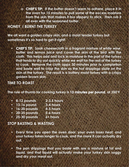**o CHEF'S TIP: If the butter doesn't seem to adhere, place it in the oven for 15 minutes to pull some of the excess moisture from the skin that makes it too slippery to stick. Then rub it all over with the seasoned butter.**

#### **HONEY, I BURNT THE TURKEY**

**We all want a golden crispy skin, and a moist tender turkey but sometimes it's so hard to get it right!**

**• CHEF'S TIP: Soak cheesecloth in a fragrant mixture of white wine, butter and lemon juice and cover the skin of the bird with the cloth. This helps add and lock in moisture in the part of the turkey that tends to dry out quickly while we wait for the rest of the turkey to cook. Remove the cloth appx 30 minutes prior to completion and baste well to crisp the skin as the hot drippings sizzle on the skin of the turkey. The result is a buttery moist turkey with a crispy golden brown skin.**

### **TIME TO ROAST**

**The rule of thumb for cooking turkey is 13 minutes per pound, at 350°F**

- **• 8-12 pounds 2-3.5 hours**
- **• 13-16 pound 3-4 hours**
- **• 16-20 pounds 4-5 hours**
- **• 20-25 pounds 5-6 hours**
- **• 25-30 pounds 6+ hours**

#### **STOP BASTING & WASTING**

- **• Every time you open the oven door, your oven loses heat, and your turkey takes longer to cook, and the more it can actually dry out.**
- **• The pan drippings that you baste with are a mixture of fat and liquid, and that liquid will actually make your turkey skin soggy and dry your meat out.**